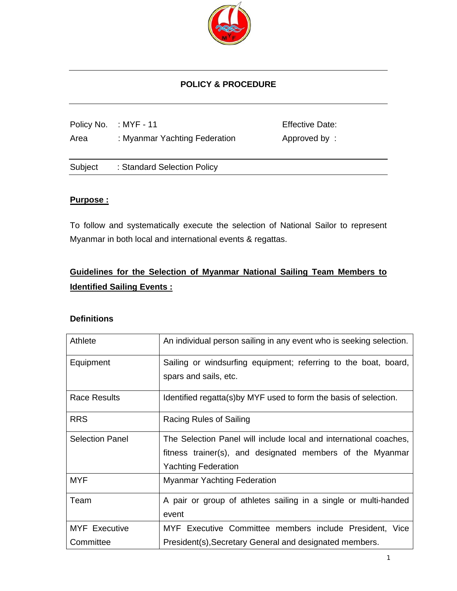

# **POLICY & PROCEDURE**

Policy No. : MYF - 11 Effective Date: Area : Myanmar Yachting Federation **Approved by :** Subject : Standard Selection Policy

#### **Purpose :**

To follow and systematically execute the selection of National Sailor to represent Myanmar in both local and international events & regattas.

# **Guidelines for the Selection of Myanmar National Sailing Team Members to Identified Sailing Events :**

#### **Definitions**

| Athlete                | An individual person sailing in any event who is seeking selection. |  |
|------------------------|---------------------------------------------------------------------|--|
| Equipment              | Sailing or windsurfing equipment; referring to the boat, board,     |  |
|                        | spars and sails, etc.                                               |  |
| <b>Race Results</b>    | Identified regatta(s) by MYF used to form the basis of selection.   |  |
| <b>RRS</b>             | Racing Rules of Sailing                                             |  |
| <b>Selection Panel</b> | The Selection Panel will include local and international coaches,   |  |
|                        | fitness trainer(s), and designated members of the Myanmar           |  |
|                        | <b>Yachting Federation</b>                                          |  |
| <b>MYF</b>             | <b>Myanmar Yachting Federation</b>                                  |  |
| Team                   | A pair or group of athletes sailing in a single or multi-handed     |  |
|                        | event                                                               |  |
| <b>MYF Executive</b>   | MYF Executive Committee members include President, Vice             |  |
| Committee              | President(s), Secretary General and designated members.             |  |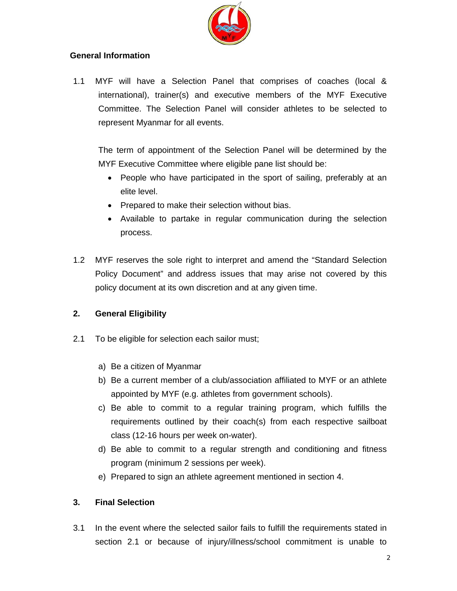

# **General Information**

1.1 MYF will have a Selection Panel that comprises of coaches (local & international), trainer(s) and executive members of the MYF Executive Committee. The Selection Panel will consider athletes to be selected to represent Myanmar for all events.

The term of appointment of the Selection Panel will be determined by the MYF Executive Committee where eligible pane list should be:

- People who have participated in the sport of sailing, preferably at an elite level.
- Prepared to make their selection without bias.
- Available to partake in regular communication during the selection process.
- 1.2 MYF reserves the sole right to interpret and amend the "Standard Selection Policy Document" and address issues that may arise not covered by this policy document at its own discretion and at any given time.

## **2. General Eligibility**

- 2.1 To be eligible for selection each sailor must;
	- a) Be a citizen of Myanmar
	- b) Be a current member of a club/association affiliated to MYF or an athlete appointed by MYF (e.g. athletes from government schools).
	- c) Be able to commit to a regular training program, which fulfills the requirements outlined by their coach(s) from each respective sailboat class (12-16 hours per week on-water).
	- d) Be able to commit to a regular strength and conditioning and fitness program (minimum 2 sessions per week).
	- e) Prepared to sign an athlete agreement mentioned in section 4.

## **3. Final Selection**

3.1 In the event where the selected sailor fails to fulfill the requirements stated in section 2.1 or because of injury/illness/school commitment is unable to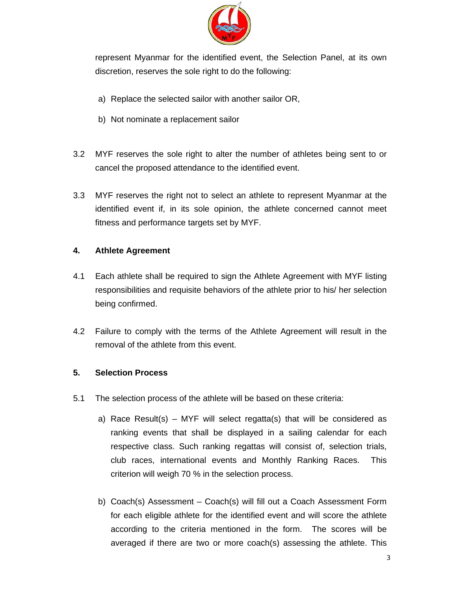

represent Myanmar for the identified event, the Selection Panel, at its own discretion, reserves the sole right to do the following:

- a) Replace the selected sailor with another sailor OR,
- b) Not nominate a replacement sailor
- 3.2 MYF reserves the sole right to alter the number of athletes being sent to or cancel the proposed attendance to the identified event.
- 3.3 MYF reserves the right not to select an athlete to represent Myanmar at the identified event if, in its sole opinion, the athlete concerned cannot meet fitness and performance targets set by MYF.

#### **4. Athlete Agreement**

- 4.1 Each athlete shall be required to sign the Athlete Agreement with MYF listing responsibilities and requisite behaviors of the athlete prior to his/ her selection being confirmed.
- 4.2 Failure to comply with the terms of the Athlete Agreement will result in the removal of the athlete from this event.

#### **5. Selection Process**

- 5.1 The selection process of the athlete will be based on these criteria:
	- a) Race Result(s) MYF will select regatta(s) that will be considered as ranking events that shall be displayed in a sailing calendar for each respective class. Such ranking regattas will consist of, selection trials, club races, international events and Monthly Ranking Races. This criterion will weigh 70 % in the selection process.
	- b) Coach(s) Assessment Coach(s) will fill out a Coach Assessment Form for each eligible athlete for the identified event and will score the athlete according to the criteria mentioned in the form. The scores will be averaged if there are two or more coach(s) assessing the athlete. This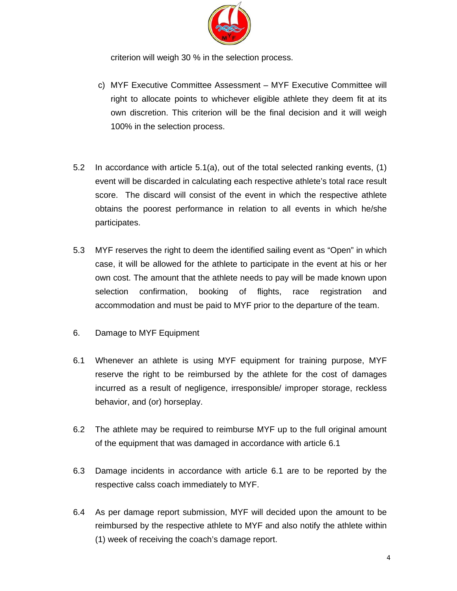

criterion will weigh 30 % in the selection process.

- c) MYF Executive Committee Assessment MYF Executive Committee will right to allocate points to whichever eligible athlete they deem fit at its own discretion. This criterion will be the final decision and it will weigh 100% in the selection process.
- 5.2 In accordance with article 5.1(a), out of the total selected ranking events, (1) event will be discarded in calculating each respective athlete's total race result score. The discard will consist of the event in which the respective athlete obtains the poorest performance in relation to all events in which he/she participates.
- 5.3 MYF reserves the right to deem the identified sailing event as "Open" in which case, it will be allowed for the athlete to participate in the event at his or her own cost. The amount that the athlete needs to pay will be made known upon selection confirmation, booking of flights, race registration and accommodation and must be paid to MYF prior to the departure of the team.
- 6. Damage to MYF Equipment
- 6.1 Whenever an athlete is using MYF equipment for training purpose, MYF reserve the right to be reimbursed by the athlete for the cost of damages incurred as a result of negligence, irresponsible/ improper storage, reckless behavior, and (or) horseplay.
- 6.2 The athlete may be required to reimburse MYF up to the full original amount of the equipment that was damaged in accordance with article 6.1
- 6.3 Damage incidents in accordance with article 6.1 are to be reported by the respective calss coach immediately to MYF.
- 6.4 As per damage report submission, MYF will decided upon the amount to be reimbursed by the respective athlete to MYF and also notify the athlete within (1) week of receiving the coach's damage report.